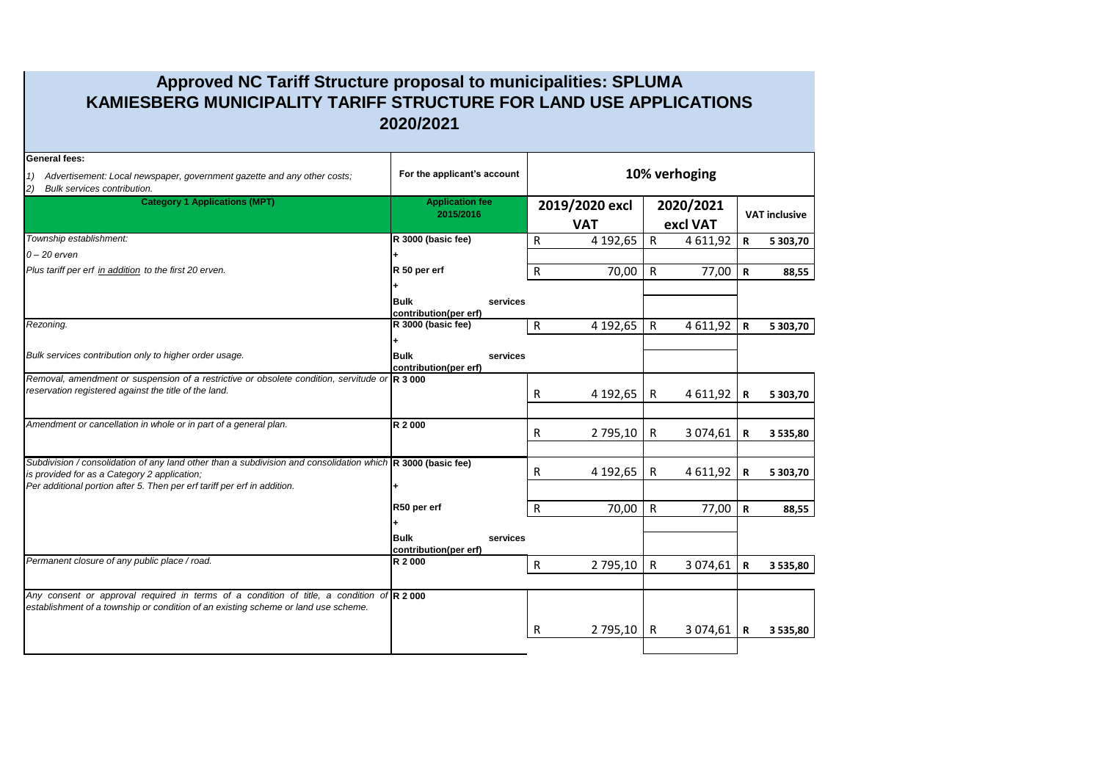## **Approved NC Tariff Structure proposal to municipalities: SPLUMA KAMIESBERG MUNICIPALITY TARIFF STRUCTURE FOR LAND USE APPLICATIONS 2020/2021**

| <b>General fees:</b><br>1) Advertisement: Local newspaper, government gazette and any other costs;<br><b>Bulk services contribution.</b><br>$\left( 2\right)$                                                                           | For the applicant's account                      | 10% verhoging                |                       |               |                      |          |
|-----------------------------------------------------------------------------------------------------------------------------------------------------------------------------------------------------------------------------------------|--------------------------------------------------|------------------------------|-----------------------|---------------|----------------------|----------|
| <b>Category 1 Applications (MPT)</b>                                                                                                                                                                                                    | <b>Application fee</b><br>2015/2016              | 2019/2020 excl<br><b>VAT</b> | 2020/2021<br>excl VAT |               | <b>VAT inclusive</b> |          |
| Township establishment:                                                                                                                                                                                                                 | R 3000 (basic fee)                               | 4 192,65<br>R                | $\mathsf{R}$          | 4 6 1 1, 9 2  | $\mathbf R$          | 5 303,70 |
| $0 - 20$ erven                                                                                                                                                                                                                          |                                                  |                              |                       |               |                      |          |
| Plus tariff per erf in addition to the first 20 erven.                                                                                                                                                                                  | R 50 per erf                                     | $\mathsf{R}$<br>70,00        | R                     | 77,00         | $\mathbf R$          | 88,55    |
|                                                                                                                                                                                                                                         | <b>Bulk</b><br>services<br>contribution(per erf) |                              |                       |               |                      |          |
| Rezoning.                                                                                                                                                                                                                               | R 3000 (basic fee)                               | $\mathsf{R}$<br>4 192,65     | $\mathsf{R}$          | 4 6 1 1, 9 2  | $\mathbf R$          | 5 303,70 |
| Bulk services contribution only to higher order usage.                                                                                                                                                                                  | <b>Bulk</b><br>services<br>contribution(per erf) |                              |                       |               |                      |          |
| Removal, amendment or suspension of a restrictive or obsolete condition, servitude or R 3 000<br>reservation registered against the title of the land.                                                                                  |                                                  | 4 192,65<br>R                | R                     | 4 6 1 1, 9 2  | R                    | 5 303,70 |
| Amendment or cancellation in whole or in part of a general plan.                                                                                                                                                                        | R 2000                                           | R<br>2 795,10                | R                     | 3 0 7 4 , 6 1 | R                    | 3 535,80 |
| Subdivision / consolidation of any land other than a subdivision and consolidation which R 3000 (basic fee)<br>is provided for as a Category 2 application;<br>Per additional portion after 5. Then per erf tariff per erf in addition. |                                                  | R<br>4 192,65                | R.                    | 4 6 1 1, 9 2  | $\mathbf R$          | 5 303,70 |
|                                                                                                                                                                                                                                         | R50 per erf                                      | R<br>70,00                   | $\mathsf{R}$          | 77,00         | $\mathbf R$          | 88,55    |
|                                                                                                                                                                                                                                         | <b>Bulk</b><br>services<br>contribution(per erf) |                              |                       |               |                      |          |
| Permanent closure of any public place / road.                                                                                                                                                                                           | R 2 000                                          | $\mathsf{R}$<br>2795,10      | $\mathsf{R}$          | 3 0 7 4 , 6 1 | $\mathbf R$          | 3 535,80 |
| Any consent or approval required in terms of a condition of title, a condition of $\mathbb{R}$ 2000<br>establishment of a township or condition of an existing scheme or land use scheme.                                               |                                                  |                              |                       |               |                      |          |
|                                                                                                                                                                                                                                         |                                                  | R<br>2 795,10                | R                     | 3 0 7 4 , 6 1 | R                    | 3 535,80 |
|                                                                                                                                                                                                                                         |                                                  |                              |                       |               |                      |          |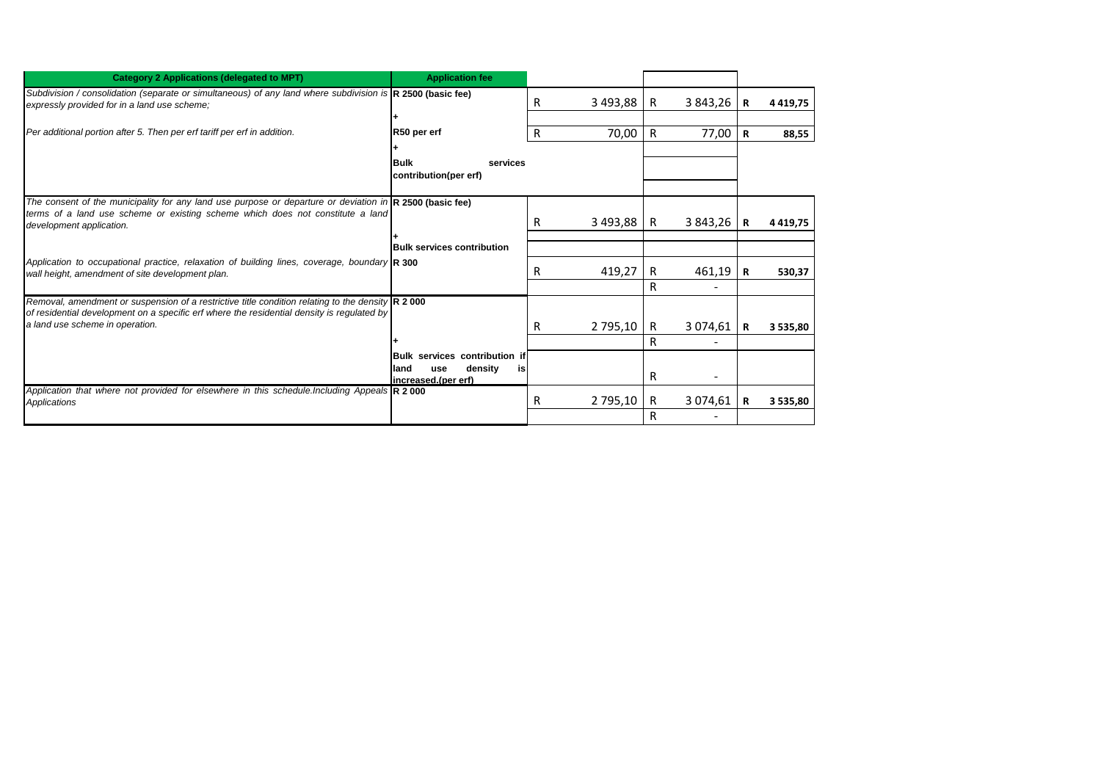| <b>Category 2 Applications (delegated to MPT)</b>                                                                                                                                                                                  | <b>Application fee</b>                                                                      |   |          |        |               |             |               |
|------------------------------------------------------------------------------------------------------------------------------------------------------------------------------------------------------------------------------------|---------------------------------------------------------------------------------------------|---|----------|--------|---------------|-------------|---------------|
| Subdivision / consolidation (separate or simultaneous) of any land where subdivision is $\mathbb R$ 2500 (basic fee)<br>expressly provided for in a land use scheme:                                                               |                                                                                             | R | 3 493,88 | R      | $3843,26$ R   |             | 4 4 1 9 , 7 5 |
| Per additional portion after 5. Then per erf tariff per erf in addition.                                                                                                                                                           | R50 per erf                                                                                 | R | 70,00    | R      | 77,00         | R           | 88,55         |
|                                                                                                                                                                                                                                    | <b>Bulk</b><br>services<br>contribution(per erf)                                            |   |          |        |               |             |               |
| The consent of the municipality for any land use purpose or departure or deviation in R 2500 (basic fee)<br>terms of a land use scheme or existing scheme which does not constitute a land<br>development application.             |                                                                                             | R | 3493,88  | R.     | $3843,26$ R   |             | 4 4 19,75     |
| Application to occupational practice, relaxation of building lines, coverage, boundary R 300<br>wall height, amendment of site development plan.                                                                                   | <b>Bulk services contribution</b>                                                           |   |          |        |               |             |               |
|                                                                                                                                                                                                                                    |                                                                                             | R | 419,27   | R<br>R | $461,19$ R    |             | 530,37        |
| Removal, amendment or suspension of a restrictive title condition relating to the density R 2 000<br>of residential development on a specific erf where the residential density is requlated by<br>a land use scheme in operation. |                                                                                             |   |          |        |               |             |               |
|                                                                                                                                                                                                                                    |                                                                                             | R | 2 795,10 | R<br>R | 3 0 74,61     | R           | 3 535.80      |
|                                                                                                                                                                                                                                    | <b>Bulk services contribution if</b><br>density<br>land<br>use<br>is<br>increased.(per erf) |   |          | R      |               |             |               |
| Application that where not provided for elsewhere in this schedule. Including Appeals $\mathbb{R}$ 2000<br><b>Applications</b>                                                                                                     |                                                                                             | R | 2 795,10 | R      | 3 0 7 4 , 6 1 | $\mathbf R$ | 3 535,80      |
|                                                                                                                                                                                                                                    |                                                                                             |   |          | R      |               |             |               |